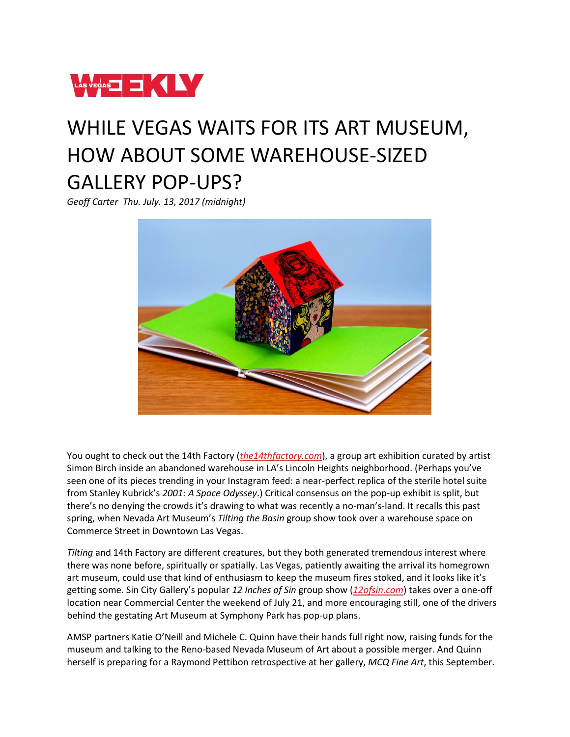

## WHILE VEGAS WAITS FOR ITS ART MUSEUM, HOW ABOUT SOME WAREHOUSE-SIZED GALLERY POP-UPS?

*Geoff Carter Thu. July. 13, 2017 (midnight)*



You ought to check out the 14th Factory (*[the14thfactory.com](http://the14thfactory.com/)*), a group art exhibition curated by artist Simon Birch inside an abandoned warehouse in LA's Lincoln Heights neighborhood. (Perhaps you've seen one of its pieces trending in your Instagram feed: a near-perfect replica of the sterile hotel suite from Stanley Kubrick's *2001: A Space Odyssey*.) Critical consensus on the pop-up exhibit is split, but there's no denying the crowds it's drawing to what was recently a no-man's-land. It recalls this past spring, when Nevada Art Museum's *Tilting the Basin* group show took over a warehouse space on Commerce Street in Downtown Las Vegas.

*Tilting* and 14th Factory are different creatures, but they both generated tremendous interest where there was none before, spiritually or spatially. Las Vegas, patiently awaiting the arrival its homegrown art museum, could use that kind of enthusiasm to keep the museum fires stoked, and it looks like it's getting some. Sin City Gallery's popular *12 Inches of Sin* group show (*[12ofsin.com](http://12ofsin.com/)*) takes over a one-off location near Commercial Center the weekend of July 21, and more encouraging still, one of the drivers behind the gestating Art Museum at Symphony Park has pop-up plans.

AMSP partners Katie O'Neill and Michele C. Quinn have their hands full right now, raising funds for the museum and talking to the Reno-based Nevada Museum of Art about a possible merger. And Quinn herself is preparing for a Raymond Pettibon retrospective at her gallery, *MCQ Fine Art*, this September.